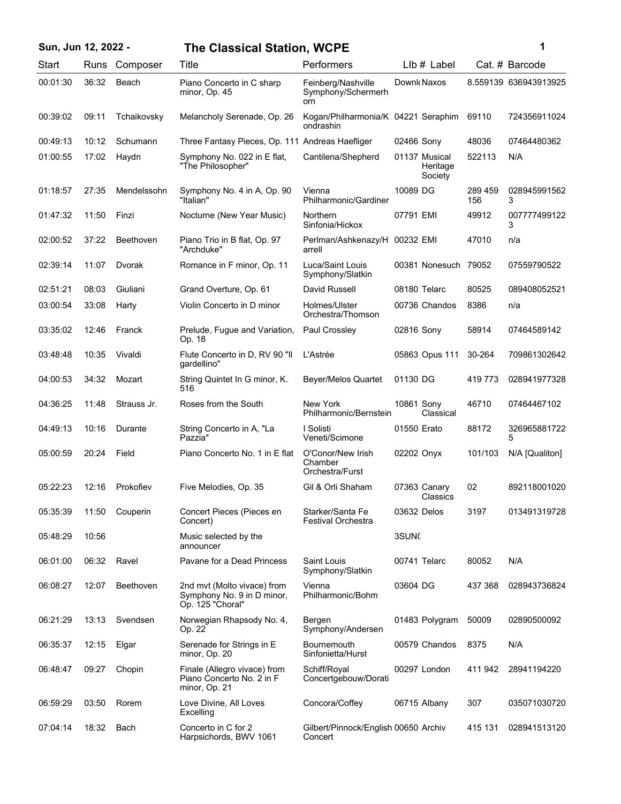| Sun, Jun 12, 2022 - |       |             | <b>The Classical Station, WCPE</b>                                            |                                                  | 1                                    |                |                       |
|---------------------|-------|-------------|-------------------------------------------------------------------------------|--------------------------------------------------|--------------------------------------|----------------|-----------------------|
| Start               | Runs  | Composer    | Title                                                                         | Performers                                       | LIb # Label                          |                | Cat. # Barcode        |
| 00:01:30            | 36:32 | Beach       | Piano Concerto in C sharp<br>minor, Op. 45                                    | Feinberg/Nashville<br>Symphony/Schermerh<br>orn  | Downk Naxos                          |                | 8.559139 636943913925 |
| 00:39:02            | 09:11 | Tchaikovsky | Melancholy Serenade, Op. 26                                                   | Kogan/Philharmonia/K 04221 Seraphim<br>ondrashin |                                      | 69110          | 724356911024          |
| 00:49:13            | 10:12 | Schumann    | Three Fantasy Pieces, Op. 111 Andreas Haefliger                               |                                                  | 02466 Sony                           | 48036          | 07464480362           |
| 01:00:55            | 17:02 | Haydn       | Symphony No. 022 in E flat,<br>"The Philosopher"                              | Cantilena/Shepherd                               | 01137 Musical<br>Heritage<br>Society | 522113         | N/A                   |
| 01:18:57            | 27:35 | Mendelssohn | Symphony No. 4 in A, Op. 90<br>"Italian"                                      | Vienna<br>Philharmonic/Gardiner                  | 10089 DG                             | 289 459<br>156 | 028945991562<br>3     |
| 01:47:32            | 11:50 | Finzi       | Nocturne (New Year Music)                                                     | Northern<br>Sinfonia/Hickox                      | 07791 EMI                            | 49912          | 007777499122<br>3     |
| 02:00:52            | 37:22 | Beethoven   | Piano Trio in B flat, Op. 97<br>"Archduke"                                    | Perlman/Ashkenazy/H<br>arrell                    | 00232 EMI                            | 47010          | n/a                   |
| 02:39:14            | 11:07 | Dvorak      | Romance in F minor, Op. 11                                                    | Luca/Saint Louis<br>Symphony/Slatkin             | 00381 Nonesuch                       | 79052          | 07559790522           |
| 02:51:21            | 08:03 | Giuliani    | Grand Overture, Op. 61                                                        | David Russell                                    | 08180 Telarc                         | 80525          | 089408052521          |
| 03:00:54            | 33:08 | Harty       | Violin Concerto in D minor                                                    | Holmes/Ulster<br>Orchestra/Thomson               | 00736 Chandos                        | 8386           | n/a                   |
| 03:35:02            | 12:46 | Franck      | Prelude, Fugue and Variation,<br>Op. 18                                       | Paul Crossley                                    | 02816 Sony                           | 58914          | 07464589142           |
| 03:48:48            | 10:35 | Vivaldi     | Flute Concerto in D, RV 90 "II<br>qardellino"                                 | L'Astrée                                         | 05863 Opus 111                       | 30-264         | 709861302642          |
| 04:00:53            | 34:32 | Mozart      | String Quintet In G minor, K.<br>516                                          | <b>Beyer/Melos Quartet</b>                       | 01130 DG                             | 419 773        | 028941977328          |
| 04:36:25            | 11:48 | Strauss Jr. | Roses from the South                                                          | New York<br>Philharmonic/Bernstein               | 10861 Sony<br>Classical              | 46710          | 07464467102           |
| 04:49:13            | 10:16 | Durante     | String Concerto in A, "La<br>Pazzia"                                          | I Solisti<br>Veneti/Scimone                      | 01550 Erato                          | 88172          | 326965881722<br>5     |
| 05:00:59            | 20:24 | Field       | Piano Concerto No. 1 in E flat                                                | O'Conor/New Irish<br>Chamber<br>Orchestra/Furst  | 02202 Onyx                           | 101/103        | N/A [Qualiton]        |
| 05:22:23            | 12:16 | Prokofiev   | Five Melodies, Op. 35                                                         | Gil & Orli Shaham                                | 07363 Canary<br>Classics             | 02             | 892118001020          |
| 05:35:39            | 11:50 | Couperin    | Concert Pieces (Pieces en<br>Concert)                                         | Starker/Santa Fe<br>Festival Orchestra           | 03632 Delos                          | 3197           | 013491319728          |
| 05:48:29            | 10:56 |             | Music selected by the<br>announcer                                            |                                                  | 3SUN <sub>C</sub>                    |                |                       |
| 06:01:00            | 06:32 | Ravel       | Pavane for a Dead Princess                                                    | Saint Louis<br>Symphony/Slatkin                  | 00741 Telarc                         | 80052          | N/A                   |
| 06:08:27            | 12:07 | Beethoven   | 2nd mvt (Molto vivace) from<br>Symphony No. 9 in D minor,<br>Op. 125 "Choral" | Vienna<br>Philharmonic/Bohm                      | 03604 DG                             | 437 368        | 028943736824          |
| 06:21:29            | 13:13 | Svendsen    | Norwegian Rhapsody No. 4,<br>Op. 22                                           | Bergen<br>Symphony/Andersen                      | 01483 Polygram                       | 50009          | 02890500092           |
| 06:35:37            | 12:15 | Elgar       | Serenade for Strings in E<br>minor, Op. 20                                    | <b>Bournemouth</b><br>Sinfonietta/Hurst          | 00579 Chandos                        | 8375           | N/A                   |
| 06:48:47            | 09:27 | Chopin      | Finale (Allegro vivace) from<br>Piano Concerto No. 2 in F<br>minor, Op. 21    | Schiff/Royal<br>Concertgebouw/Dorati             | 00297 London                         | 411 942        | 28941194220           |
| 06:59:29            | 03:50 | Rorem       | Love Divine, All Loves<br>Excelling                                           | Concora/Coffey                                   | 06715 Albany                         | 307            | 035071030720          |
| 07:04:14            | 18:32 | Bach        | Concerto in C for 2<br>Harpsichords, BWV 1061                                 | Gilbert/Pinnock/English 00650 Archiv<br>Concert  |                                      | 415 131        | 028941513120          |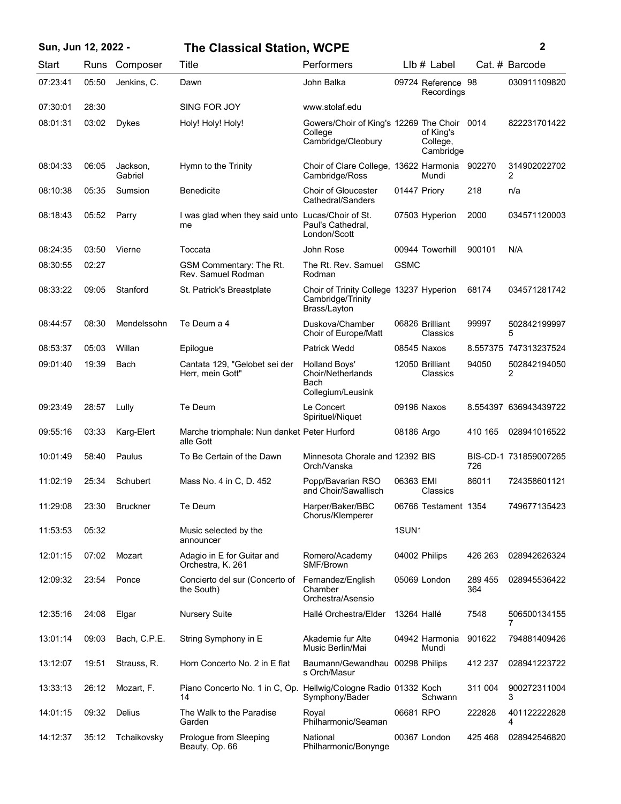| Sun, Jun 12, 2022 - |       |                     | <b>The Classical Station, WCPE</b>                                    |                                                                              |                   |                                    |                | 2                     |
|---------------------|-------|---------------------|-----------------------------------------------------------------------|------------------------------------------------------------------------------|-------------------|------------------------------------|----------------|-----------------------|
| Start               |       | Runs Composer       | Title                                                                 | Performers                                                                   |                   | $Llb#$ Label                       |                | Cat. # Barcode        |
| 07:23:41            | 05:50 | Jenkins, C.         | Dawn                                                                  | John Balka                                                                   |                   | 09724 Reference 98<br>Recordings   |                | 030911109820          |
| 07:30:01            | 28:30 |                     | SING FOR JOY                                                          | www.stolaf.edu                                                               |                   |                                    |                |                       |
| 08:01:31            | 03:02 | <b>Dykes</b>        | Holy! Holy! Holy!                                                     | Gowers/Choir of King's 12269 The Choir 0014<br>College<br>Cambridge/Cleobury |                   | of King's<br>College,<br>Cambridge |                | 822231701422          |
| 08:04:33            | 06:05 | Jackson,<br>Gabriel | Hymn to the Trinity                                                   | Choir of Clare College, 13622 Harmonia<br>Cambridge/Ross                     |                   | Mundi                              | 902270         | 314902022702<br>2     |
| 08:10:38            | 05:35 | Sumsion             | <b>Benedicite</b>                                                     | <b>Choir of Gloucester</b><br>Cathedral/Sanders                              | 01447 Priory      |                                    | 218            | n/a                   |
| 08:18:43            | 05:52 | Parry               | I was glad when they said unto Lucas/Choir of St.<br>me               | Paul's Cathedral,<br>London/Scott                                            |                   | 07503 Hyperion                     | 2000           | 034571120003          |
| 08:24:35            | 03:50 | Vierne              | Toccata                                                               | John Rose                                                                    |                   | 00944 Towerhill                    | 900101         | N/A                   |
| 08:30:55            | 02:27 |                     | GSM Commentary: The Rt.<br>Rev. Samuel Rodman                         | The Rt. Rev. Samuel<br>Rodman                                                | <b>GSMC</b>       |                                    |                |                       |
| 08:33:22            | 09:05 | Stanford            | St. Patrick's Breastplate                                             | Choir of Trinity College 13237 Hyperion<br>Cambridge/Trinity<br>Brass/Layton |                   |                                    | 68174          | 034571281742          |
| 08:44:57            | 08:30 | Mendelssohn         | Te Deum a 4                                                           | Duskova/Chamber<br>Choir of Europe/Matt                                      |                   | 06826 Brilliant<br>Classics        | 99997          | 502842199997<br>5     |
| 08:53:37            | 05:03 | Willan              | Epilogue                                                              | <b>Patrick Wedd</b>                                                          |                   | 08545 Naxos                        |                | 8.557375 747313237524 |
| 09:01:40            | 19:39 | Bach                | Cantata 129, "Gelobet sei der<br>Herr, mein Gott"                     | <b>Holland Boys'</b><br>Choir/Netherlands<br>Bach<br>Collegium/Leusink       |                   | 12050 Brilliant<br>Classics        | 94050          | 502842194050<br>2     |
| 09:23:49            | 28:57 | Lully               | Te Deum                                                               | Le Concert<br>Spirituel/Niquet                                               |                   | 09196 Naxos                        |                | 8.554397 636943439722 |
| 09:55:16            | 03:33 | Karg-Elert          | Marche triomphale: Nun danket Peter Hurford<br>alle Gott              |                                                                              | 08186 Argo        |                                    | 410 165        | 028941016522          |
| 10:01:49            | 58:40 | Paulus              | To Be Certain of the Dawn                                             | Minnesota Chorale and 12392 BIS<br>Orch/Vanska                               |                   |                                    | 726            | BIS-CD-1 731859007265 |
| 11:02:19            | 25:34 | Schubert            | Mass No. 4 in C, D. 452                                               | Popp/Bavarian RSO<br>and Choir/Sawallisch                                    | 06363 EMI         | Classics                           | 86011          | 724358601121          |
| 11:29:08            | 23:30 | <b>Bruckner</b>     | Te Deum                                                               | Harper/Baker/BBC<br>Chorus/Klemperer                                         |                   | 06766 Testament 1354               |                | 749677135423          |
| 11:53:53            | 05:32 |                     | Music selected by the<br>announcer                                    |                                                                              | 1SUN <sub>1</sub> |                                    |                |                       |
| 12:01:15            | 07:02 | Mozart              | Adagio in E for Guitar and<br>Orchestra, K. 261                       | Romero/Academy<br>SMF/Brown                                                  |                   | 04002 Philips                      | 426 263        | 028942626324          |
| 12:09:32            | 23:54 | Ponce               | Concierto del sur (Concerto of<br>the South)                          | Fernandez/English<br>Chamber<br>Orchestra/Asensio                            |                   | 05069 London                       | 289 455<br>364 | 028945536422          |
| 12:35:16            | 24:08 | Elgar               | <b>Nursery Suite</b>                                                  | Hallé Orchestra/Elder                                                        | 13264 Hallé       |                                    | 7548           | 506500134155<br>7     |
| 13:01:14            | 09:03 | Bach, C.P.E.        | String Symphony in E                                                  | Akademie fur Alte<br>Music Berlin/Mai                                        |                   | 04942 Harmonia<br>Mundi            | 901622         | 794881409426          |
| 13:12:07            | 19:51 | Strauss, R.         | Horn Concerto No. 2 in E flat                                         | Baumann/Gewandhau 00298 Philips<br>s Orch/Masur                              |                   |                                    | 412 237        | 028941223722          |
| 13:33:13            | 26:12 | Mozart, F.          | Piano Concerto No. 1 in C, Op. Hellwig/Cologne Radio 01332 Koch<br>14 | Symphony/Bader                                                               |                   | Schwann                            | 311 004        | 900272311004<br>3     |
| 14:01:15            | 09:32 | Delius              | The Walk to the Paradise<br>Garden                                    | Royal<br>Philharmonic/Seaman                                                 | 06681 RPO         |                                    | 222828         | 401122222828<br>4     |
| 14:12:37            | 35:12 | Tchaikovsky         | Prologue from Sleeping<br>Beauty, Op. 66                              | National<br>Philharmonic/Bonynge                                             |                   | 00367 London                       | 425468         | 028942546820          |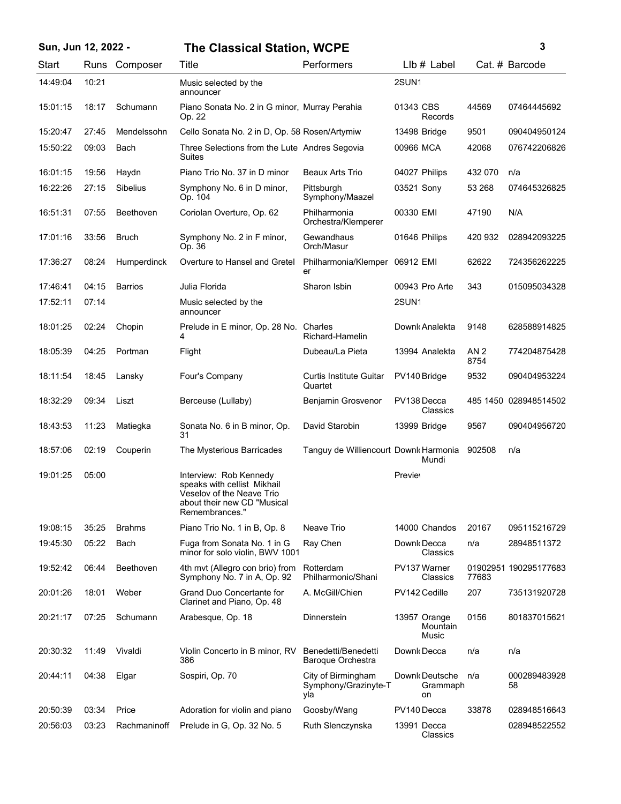| Sun, Jun 12, 2022 - |          |       |                 | <b>The Classical Station, WCPE</b>                                                                                                  |                                                   |                |                                          |                         | 3                     |
|---------------------|----------|-------|-----------------|-------------------------------------------------------------------------------------------------------------------------------------|---------------------------------------------------|----------------|------------------------------------------|-------------------------|-----------------------|
|                     | Start    |       | Runs Composer   | Title                                                                                                                               | Performers                                        |                | $Llb#$ Label                             |                         | Cat. # Barcode        |
|                     | 14:49:04 | 10:21 |                 | Music selected by the<br>announcer                                                                                                  |                                                   | 2SUN1          |                                          |                         |                       |
|                     | 15:01:15 | 18:17 | Schumann        | Piano Sonata No. 2 in G minor, Murray Perahia<br>Op. 22                                                                             |                                                   | 01343 CBS      | Records                                  | 44569                   | 07464445692           |
|                     | 15:20:47 | 27:45 | Mendelssohn     | Cello Sonata No. 2 in D, Op. 58 Rosen/Artymiw                                                                                       |                                                   |                | 13498 Bridge                             | 9501                    | 090404950124          |
|                     | 15:50:22 | 09:03 | Bach            | Three Selections from the Lute Andres Segovia<br>Suites                                                                             |                                                   | 00966 MCA      |                                          | 42068                   | 076742206826          |
|                     | 16:01:15 | 19:56 | Haydn           | Piano Trio No. 37 in D minor                                                                                                        | Beaux Arts Trio                                   |                | 04027 Philips                            | 432 070                 | n/a                   |
|                     | 16:22:26 | 27:15 | <b>Sibelius</b> | Symphony No. 6 in D minor,<br>Op. 104                                                                                               | Pittsburgh<br>Symphony/Maazel                     | 03521 Sony     |                                          | 53 268                  | 074645326825          |
|                     | 16:51:31 | 07:55 | Beethoven       | Coriolan Overture, Op. 62                                                                                                           | Philharmonia<br>Orchestra/Klemperer               | 00330 EMI      |                                          | 47190                   | N/A                   |
|                     | 17:01:16 | 33:56 | <b>Bruch</b>    | Symphony No. 2 in F minor,<br>Op. 36                                                                                                | Gewandhaus<br>Orch/Masur                          |                | 01646 Philips                            | 420 932                 | 028942093225          |
|                     | 17:36:27 | 08:24 | Humperdinck     | Overture to Hansel and Gretel                                                                                                       | Philharmonia/Klemper<br>er                        | 06912 EMI      |                                          | 62622                   | 724356262225          |
|                     | 17:46:41 | 04:15 | <b>Barrios</b>  | Julia Florida                                                                                                                       | Sharon Isbin                                      |                | 00943 Pro Arte                           | 343                     | 015095034328          |
|                     | 17:52:11 | 07:14 |                 | Music selected by the<br>announcer                                                                                                  |                                                   | 2SUN1          |                                          |                         |                       |
|                     | 18:01:25 | 02:24 | Chopin          | Prelude in E minor, Op. 28 No. Charles<br>4                                                                                         | Richard-Hamelin                                   |                | Downk Analekta                           | 9148                    | 628588914825          |
|                     | 18:05:39 | 04:25 | Portman         | Flight                                                                                                                              | Dubeau/La Pieta                                   |                | 13994 Analekta                           | AN <sub>2</sub><br>8754 | 774204875428          |
|                     | 18:11:54 | 18:45 | Lansky          | Four's Company                                                                                                                      | <b>Curtis Institute Guitar</b><br>Quartet         |                | PV140 Bridge                             | 9532                    | 090404953224          |
|                     | 18:32:29 | 09:34 | Liszt           | Berceuse (Lullaby)                                                                                                                  | Benjamin Grosvenor                                |                | PV138 Decca<br>Classics                  |                         | 485 1450 028948514502 |
|                     | 18:43:53 | 11:23 | Matiegka        | Sonata No. 6 in B minor, Op.<br>31                                                                                                  | David Starobin                                    |                | 13999 Bridge                             | 9567                    | 090404956720          |
|                     | 18:57:06 | 02:19 | Couperin        | The Mysterious Barricades                                                                                                           | Tanguy de Williencourt Downk Harmonia             |                | Mundi                                    | 902508                  | n/a                   |
|                     | 19:01:25 | 05:00 |                 | Interview: Rob Kennedy<br>speaks with cellist Mikhail<br>Veselov of the Neave Trio<br>about their new CD "Musical<br>Remembrances." |                                                   | <b>Previev</b> |                                          |                         |                       |
|                     | 19:08:15 | 35:25 | <b>Brahms</b>   | Piano Trio No. 1 in B, Op. 8                                                                                                        | Neave Trio                                        |                | 14000 Chandos                            | 20167                   | 095115216729          |
|                     | 19:45:30 | 05:22 | Bach            | Fuga from Sonata No. 1 in G<br>minor for solo violin, BWV 1001                                                                      | Ray Chen                                          |                | Downk Decca<br>Classics                  | n/a                     | 28948511372           |
|                     | 19:52:42 | 06:44 | Beethoven       | 4th mvt (Allegro con brio) from<br>Symphony No. 7 in A, Op. 92                                                                      | Rotterdam<br>Philharmonic/Shani                   |                | PV137 Warner<br>Classics                 | 77683                   | 01902951 190295177683 |
|                     | 20:01:26 | 18:01 | Weber           | Grand Duo Concertante for<br>Clarinet and Piano, Op. 48                                                                             | A. McGill/Chien                                   |                | PV142 Cedille                            | 207                     | 735131920728          |
|                     | 20:21:17 | 07:25 | Schumann        | Arabesque, Op. 18                                                                                                                   | Dinnerstein                                       |                | 13957 Orange<br><b>Mountain</b><br>Music | 0156                    | 801837015621          |
|                     | 20:30:32 | 11:49 | Vivaldi         | Violin Concerto in B minor, RV<br>386                                                                                               | Benedetti/Benedetti<br><b>Baroque Orchestra</b>   |                | Downk Decca                              | n/a                     | n/a                   |
|                     | 20:44:11 | 04:38 | Elgar           | Sospiri, Op. 70                                                                                                                     | City of Birmingham<br>Symphony/Grazinyte-T<br>yla |                | Downk Deutsche<br>Grammaph<br>on         | n/a                     | 000289483928<br>58    |
|                     | 20:50:39 | 03:34 | Price           | Adoration for violin and piano                                                                                                      | Goosby/Wang                                       |                | PV140 Decca                              | 33878                   | 028948516643          |
|                     | 20:56:03 | 03:23 | Rachmaninoff    | Prelude in G, Op. 32 No. 5                                                                                                          | Ruth Slenczynska                                  |                | 13991 Decca<br>Classics                  |                         | 028948522552          |